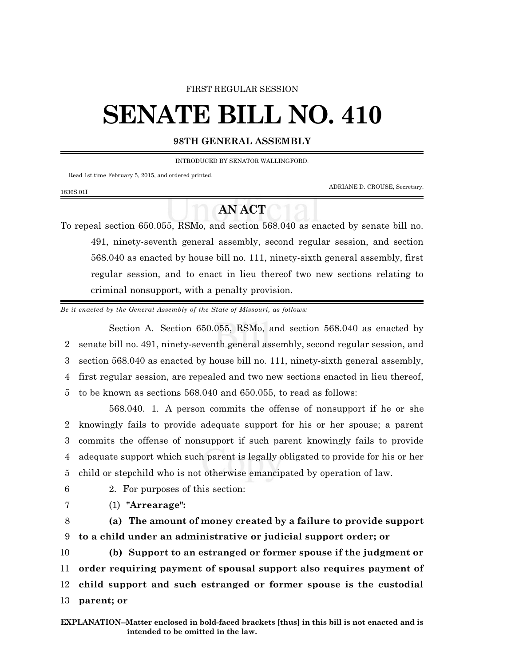## FIRST REGULAR SESSION

## **SENATE BILL NO. 410**

## **98TH GENERAL ASSEMBLY**

INTRODUCED BY SENATOR WALLINGFORD.

Read 1st time February 5, 2015, and ordered printed.

ADRIANE D. CROUSE, Secretary.

## **AN ACT**

To repeal section 650.055, RSMo, and section 568.040 as enacted by senate bill no. 491, ninety-seventh general assembly, second regular session, and section 568.040 as enacted by house bill no. 111, ninety-sixth general assembly, first regular session, and to enact in lieu thereof two new sections relating to criminal nonsupport, with a penalty provision.

*Be it enacted by the General Assembly of the State of Missouri, as follows:*

Section A. Section 650.055, RSMo, and section 568.040 as enacted by senate bill no. 491, ninety-seventh general assembly, second regular session, and section 568.040 as enacted by house bill no. 111, ninety-sixth general assembly, first regular session, are repealed and two new sections enacted in lieu thereof, to be known as sections 568.040 and 650.055, to read as follows:

568.040. 1. A person commits the offense of nonsupport if he or she knowingly fails to provide adequate support for his or her spouse; a parent commits the offense of nonsupport if such parent knowingly fails to provide adequate support which such parent is legally obligated to provide for his or her child or stepchild who is not otherwise emancipated by operation of law.

1836S.01I

6 2. For purposes of this section:

- 
- 7 (1) **"Arrearage":**

8 **(a) The amount of money created by a failure to provide support** 9 **to a child under an administrative or judicial support order; or**

 **(b) Support to an estranged or former spouse if the judgment or order requiring payment of spousal support also requires payment of child support and such estranged or former spouse is the custodial parent; or**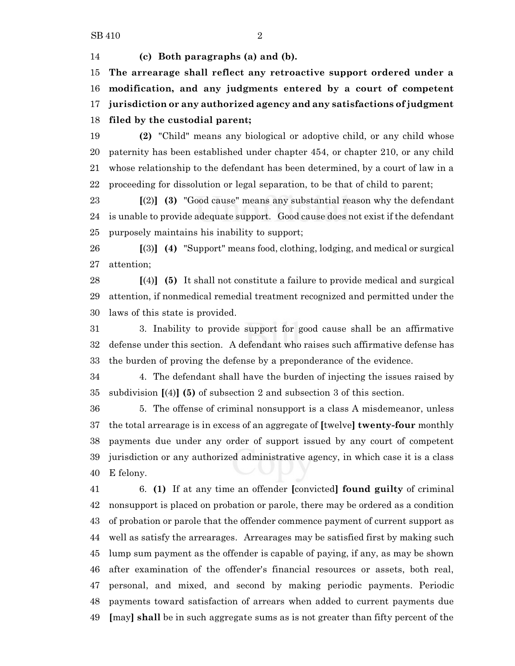**(c) Both paragraphs (a) and (b).**

 **The arrearage shall reflect any retroactive support ordered under a modification, and any judgments entered by a court of competent jurisdiction or any authorized agency and any satisfactions of judgment filed by the custodial parent;**

 **(2)** "Child" means any biological or adoptive child, or any child whose paternity has been established under chapter 454, or chapter 210, or any child whose relationship to the defendant has been determined, by a court of law in a proceeding for dissolution or legal separation, to be that of child to parent;

 **[**(2)**] (3)** "Good cause" means any substantial reason why the defendant is unable to provide adequate support. Good cause does not exist if the defendant purposely maintains his inability to support;

 **[**(3)**] (4)** "Support" means food, clothing, lodging, and medical or surgical attention;

 **[**(4)**] (5)** It shall not constitute a failure to provide medical and surgical attention, if nonmedical remedial treatment recognized and permitted under the laws of this state is provided.

 3. Inability to provide support for good cause shall be an affirmative defense under this section. A defendant who raises such affirmative defense has the burden of proving the defense by a preponderance of the evidence.

 4. The defendant shall have the burden of injecting the issues raised by subdivision **[**(4)**] (5)** of subsection 2 and subsection 3 of this section.

 5. The offense of criminal nonsupport is a class A misdemeanor, unless the total arrearage is in excess of an aggregate of **[**twelve**] twenty-four** monthly payments due under any order of support issued by any court of competent jurisdiction or any authorized administrative agency, in which case it is a class E felony.

 6. **(1)** If at any time an offender **[**convicted**] found guilty** of criminal nonsupport is placed on probation or parole, there may be ordered as a condition of probation or parole that the offender commence payment of current support as well as satisfy the arrearages. Arrearages may be satisfied first by making such lump sum payment as the offender is capable of paying, if any, as may be shown after examination of the offender's financial resources or assets, both real, personal, and mixed, and second by making periodic payments. Periodic payments toward satisfaction of arrears when added to current payments due **[**may**] shall** be in such aggregate sums as is not greater than fifty percent of the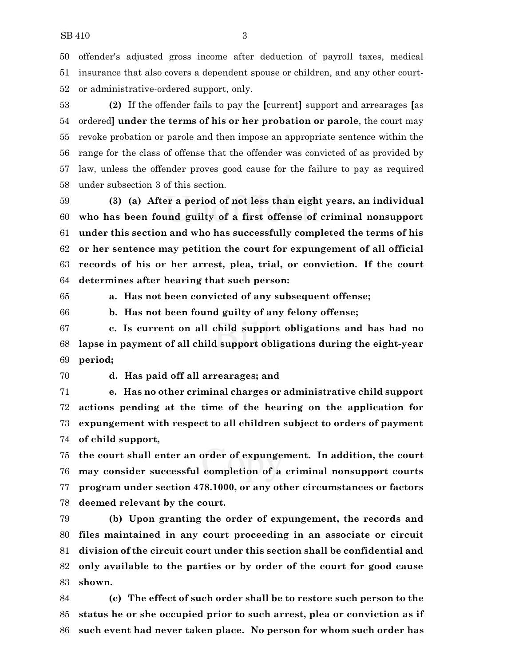offender's adjusted gross income after deduction of payroll taxes, medical insurance that also covers a dependent spouse or children, and any other court-or administrative-ordered support, only.

 **(2)** If the offender fails to pay the **[**current**]** support and arrearages **[**as ordered**] under the terms of his or her probation or parole**, the court may revoke probation or parole and then impose an appropriate sentence within the range for the class of offense that the offender was convicted of as provided by law, unless the offender proves good cause for the failure to pay as required under subsection 3 of this section.

 **(3) (a) After a period of not less than eight years, an individual who has been found guilty of a first offense of criminal nonsupport under this section and who has successfully completed the terms of his or her sentence may petition the court for expungement of all official records of his or her arrest, plea, trial, or conviction. If the court determines after hearing that such person:**

**a. Has not been convicted of any subsequent offense;**

**b. Has not been found guilty of any felony offense;**

 **c. Is current on all child support obligations and has had no lapse in payment of all child support obligations during the eight-year period;**

**d. Has paid off all arrearages; and**

 **e. Has no other criminal charges or administrative child support actions pending at the time of the hearing on the application for expungement with respect to all children subject to orders of payment of child support,**

 **the court shall enter an order of expungement. In addition, the court may consider successful completion of a criminal nonsupport courts program under section 478.1000, or any other circumstances or factors deemed relevant by the court.**

 **(b) Upon granting the order of expungement, the records and files maintained in any court proceeding in an associate or circuit division of the circuit court under this section shall be confidential and only available to the parties or by order of the court for good cause shown.**

 **(c) The effect of such order shall be to restore such person to the status he or she occupied prior to such arrest, plea or conviction as if such event had never taken place. No person for whom such order has**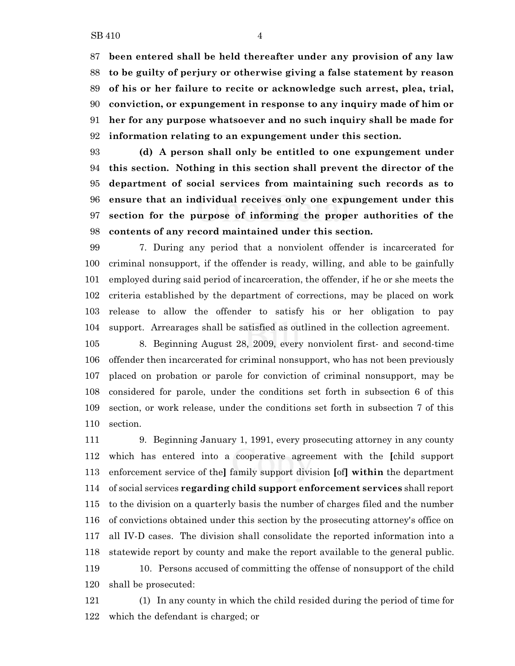**been entered shall be held thereafter under any provision of any law to be guilty of perjury or otherwise giving a false statement by reason of his or her failure to recite or acknowledge such arrest, plea, trial, conviction, or expungement in response to any inquiry made of him or her for any purpose whatsoever and no such inquiry shall be made for information relating to an expungement under this section.**

 **(d) A person shall only be entitled to one expungement under this section. Nothing in this section shall prevent the director of the department of social services from maintaining such records as to ensure that an individual receives only one expungement under this section for the purpose of informing the proper authorities of the contents of any record maintained under this section.**

 7. During any period that a nonviolent offender is incarcerated for criminal nonsupport, if the offender is ready, willing, and able to be gainfully employed during said period of incarceration, the offender, if he or she meets the criteria established by the department of corrections, may be placed on work release to allow the offender to satisfy his or her obligation to pay support. Arrearages shall be satisfied as outlined in the collection agreement.

 8. Beginning August 28, 2009, every nonviolent first- and second-time offender then incarcerated for criminal nonsupport, who has not been previously placed on probation or parole for conviction of criminal nonsupport, may be considered for parole, under the conditions set forth in subsection 6 of this section, or work release, under the conditions set forth in subsection 7 of this section.

 9. Beginning January 1, 1991, every prosecuting attorney in any county which has entered into a cooperative agreement with the **[**child support enforcement service of the**]** family support division **[**of**] within** the department of social services **regarding child support enforcement services** shall report to the division on a quarterly basis the number of charges filed and the number of convictions obtained under this section by the prosecuting attorney's office on all IV-D cases. The division shall consolidate the reported information into a statewide report by county and make the report available to the general public. 10. Persons accused of committing the offense of nonsupport of the child shall be prosecuted:

 (1) In any county in which the child resided during the period of time for which the defendant is charged; or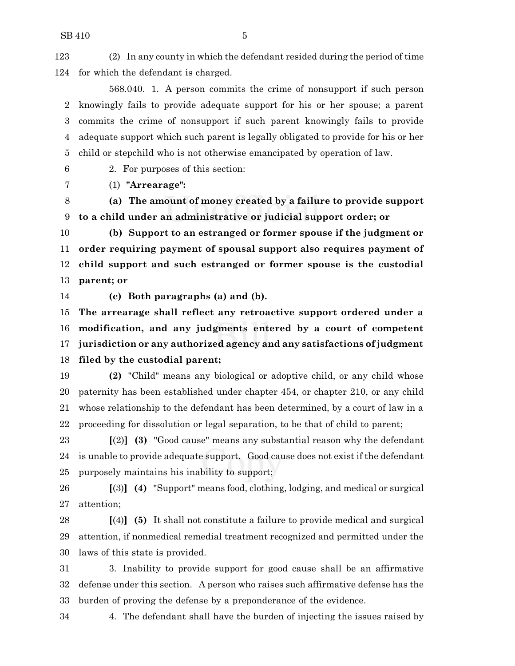(2) In any county in which the defendant resided during the period of time for which the defendant is charged.

568.040. 1. A person commits the crime of nonsupport if such person knowingly fails to provide adequate support for his or her spouse; a parent commits the crime of nonsupport if such parent knowingly fails to provide adequate support which such parent is legally obligated to provide for his or her child or stepchild who is not otherwise emancipated by operation of law.

2. For purposes of this section:

(1) **"Arrearage":**

 **(a) The amount of money created by a failure to provide support to a child under an administrative or judicial support order; or**

 **(b) Support to an estranged or former spouse if the judgment or order requiring payment of spousal support also requires payment of child support and such estranged or former spouse is the custodial parent; or**

**(c) Both paragraphs (a) and (b).**

 **The arrearage shall reflect any retroactive support ordered under a modification, and any judgments entered by a court of competent jurisdiction or any authorized agency and any satisfactions of judgment filed by the custodial parent;**

 **(2)** "Child" means any biological or adoptive child, or any child whose paternity has been established under chapter 454, or chapter 210, or any child whose relationship to the defendant has been determined, by a court of law in a proceeding for dissolution or legal separation, to be that of child to parent;

 **[**(2)**] (3)** "Good cause" means any substantial reason why the defendant is unable to provide adequate support. Good cause does not exist if the defendant purposely maintains his inability to support;

 **[**(3)**] (4)** "Support" means food, clothing, lodging, and medical or surgical attention;

 **[**(4)**] (5)** It shall not constitute a failure to provide medical and surgical attention, if nonmedical remedial treatment recognized and permitted under the laws of this state is provided.

 3. Inability to provide support for good cause shall be an affirmative defense under this section. A person who raises such affirmative defense has the burden of proving the defense by a preponderance of the evidence.

4. The defendant shall have the burden of injecting the issues raised by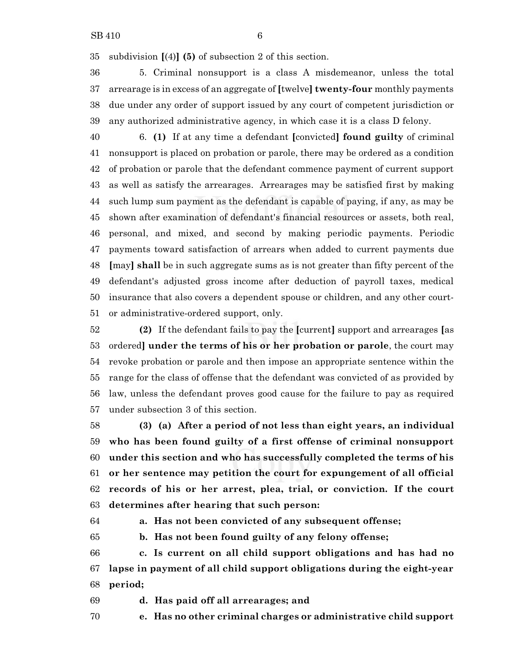subdivision **[**(4)**] (5)** of subsection 2 of this section.

 5. Criminal nonsupport is a class A misdemeanor, unless the total arrearage is in excess of an aggregate of **[**twelve**] twenty-four** monthly payments due under any order of support issued by any court of competent jurisdiction or any authorized administrative agency, in which case it is a class D felony.

 6. **(1)** If at any time a defendant **[**convicted**] found guilty** of criminal nonsupport is placed on probation or parole, there may be ordered as a condition of probation or parole that the defendant commence payment of current support as well as satisfy the arrearages. Arrearages may be satisfied first by making such lump sum payment as the defendant is capable of paying, if any, as may be shown after examination of defendant's financial resources or assets, both real, personal, and mixed, and second by making periodic payments. Periodic payments toward satisfaction of arrears when added to current payments due **[**may**] shall** be in such aggregate sums as is not greater than fifty percent of the defendant's adjusted gross income after deduction of payroll taxes, medical insurance that also covers a dependent spouse or children, and any other court-or administrative-ordered support, only.

 **(2)** If the defendant fails to pay the **[**current**]** support and arrearages **[**as ordered**] under the terms of his or her probation or parole**, the court may revoke probation or parole and then impose an appropriate sentence within the range for the class of offense that the defendant was convicted of as provided by law, unless the defendant proves good cause for the failure to pay as required under subsection 3 of this section.

 **(3) (a) After a period of not less than eight years, an individual who has been found guilty of a first offense of criminal nonsupport under this section and who has successfully completed the terms of his or her sentence may petition the court for expungement of all official records of his or her arrest, plea, trial, or conviction. If the court determines after hearing that such person:**

**a. Has not been convicted of any subsequent offense;**

**b. Has not been found guilty of any felony offense;**

 **c. Is current on all child support obligations and has had no lapse in payment of all child support obligations during the eight-year period;**

**d. Has paid off all arrearages; and**

**e. Has no other criminal charges or administrative child support**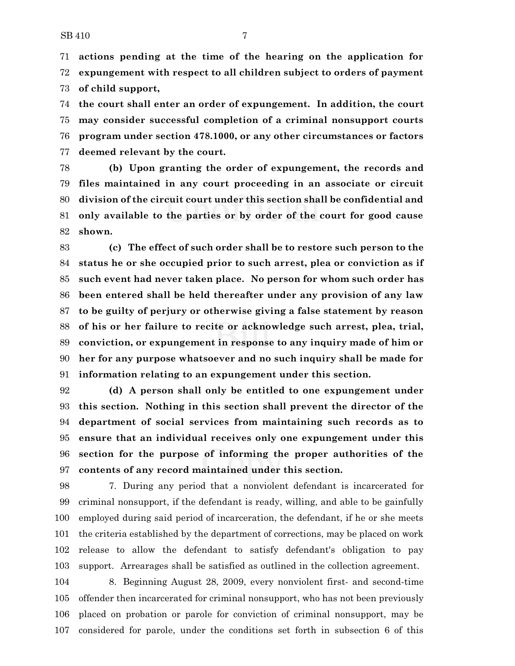**actions pending at the time of the hearing on the application for expungement with respect to all children subject to orders of payment of child support,**

 **the court shall enter an order of expungement. In addition, the court may consider successful completion of a criminal nonsupport courts program under section 478.1000, or any other circumstances or factors deemed relevant by the court.**

 **(b) Upon granting the order of expungement, the records and files maintained in any court proceeding in an associate or circuit division of the circuit court under this section shall be confidential and only available to the parties or by order of the court for good cause shown.**

 **(c) The effect of such order shall be to restore such person to the status he or she occupied prior to such arrest, plea or conviction as if such event had never taken place. No person for whom such order has been entered shall be held thereafter under any provision of any law to be guilty of perjury or otherwise giving a false statement by reason of his or her failure to recite or acknowledge such arrest, plea, trial, conviction, or expungement in response to any inquiry made of him or her for any purpose whatsoever and no such inquiry shall be made for information relating to an expungement under this section.**

 **(d) A person shall only be entitled to one expungement under this section. Nothing in this section shall prevent the director of the department of social services from maintaining such records as to ensure that an individual receives only one expungement under this section for the purpose of informing the proper authorities of the contents of any record maintained under this section.**

 7. During any period that a nonviolent defendant is incarcerated for criminal nonsupport, if the defendant is ready, willing, and able to be gainfully employed during said period of incarceration, the defendant, if he or she meets the criteria established by the department of corrections, may be placed on work release to allow the defendant to satisfy defendant's obligation to pay support. Arrearages shall be satisfied as outlined in the collection agreement.

 8. Beginning August 28, 2009, every nonviolent first- and second-time offender then incarcerated for criminal nonsupport, who has not been previously placed on probation or parole for conviction of criminal nonsupport, may be considered for parole, under the conditions set forth in subsection 6 of this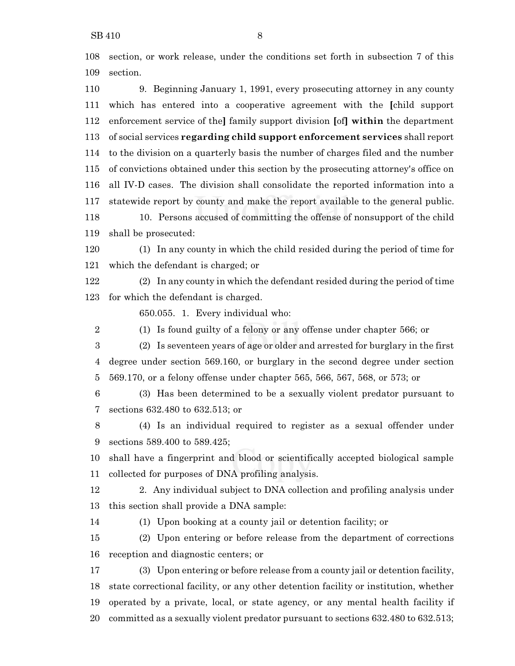section, or work release, under the conditions set forth in subsection 7 of this section.

 9. Beginning January 1, 1991, every prosecuting attorney in any county which has entered into a cooperative agreement with the **[**child support enforcement service of the**]** family support division **[**of**] within** the department of social services **regarding child support enforcement services** shall report to the division on a quarterly basis the number of charges filed and the number of convictions obtained under this section by the prosecuting attorney's office on all IV-D cases. The division shall consolidate the reported information into a statewide report by county and make the report available to the general public. 10. Persons accused of committing the offense of nonsupport of the child shall be prosecuted:

 (1) In any county in which the child resided during the period of time for which the defendant is charged; or

 (2) In any county in which the defendant resided during the period of time for which the defendant is charged.

650.055. 1. Every individual who:

(1) Is found guilty of a felony or any offense under chapter 566; or

 (2) Is seventeen years of age or older and arrested for burglary in the first degree under section 569.160, or burglary in the second degree under section 569.170, or a felony offense under chapter 565, 566, 567, 568, or 573; or

 (3) Has been determined to be a sexually violent predator pursuant to sections 632.480 to 632.513; or

 (4) Is an individual required to register as a sexual offender under sections 589.400 to 589.425;

 shall have a fingerprint and blood or scientifically accepted biological sample collected for purposes of DNA profiling analysis.

 2. Any individual subject to DNA collection and profiling analysis under this section shall provide a DNA sample:

(1) Upon booking at a county jail or detention facility; or

 (2) Upon entering or before release from the department of corrections reception and diagnostic centers; or

 (3) Upon entering or before release from a county jail or detention facility, state correctional facility, or any other detention facility or institution, whether operated by a private, local, or state agency, or any mental health facility if committed as a sexually violent predator pursuant to sections 632.480 to 632.513;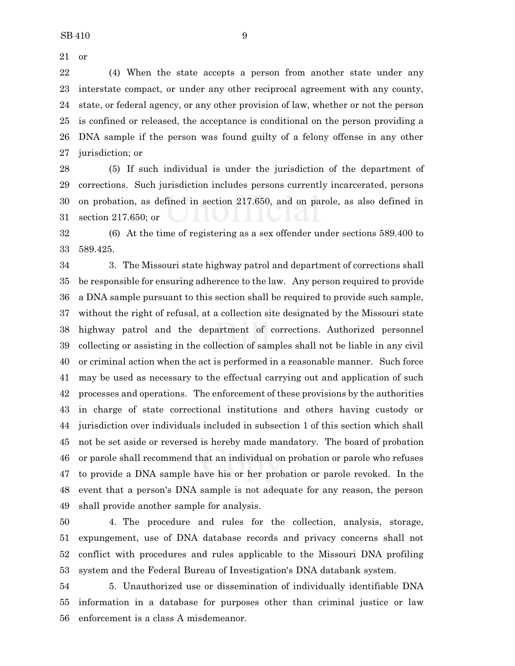or

 (4) When the state accepts a person from another state under any interstate compact, or under any other reciprocal agreement with any county, state, or federal agency, or any other provision of law, whether or not the person is confined or released, the acceptance is conditional on the person providing a DNA sample if the person was found guilty of a felony offense in any other jurisdiction; or

 (5) If such individual is under the jurisdiction of the department of corrections. Such jurisdiction includes persons currently incarcerated, persons on probation, as defined in section 217.650, and on parole, as also defined in section 217.650; or

 (6) At the time of registering as a sex offender under sections 589.400 to 589.425.

 3. The Missouri state highway patrol and department of corrections shall be responsible for ensuring adherence to the law. Any person required to provide a DNA sample pursuant to this section shall be required to provide such sample, without the right of refusal, at a collection site designated by the Missouri state highway patrol and the department of corrections. Authorized personnel collecting or assisting in the collection of samples shall not be liable in any civil or criminal action when the act is performed in a reasonable manner. Such force may be used as necessary to the effectual carrying out and application of such processes and operations. The enforcement of these provisions by the authorities in charge of state correctional institutions and others having custody or jurisdiction over individuals included in subsection 1 of this section which shall not be set aside or reversed is hereby made mandatory. The board of probation or parole shall recommend that an individual on probation or parole who refuses to provide a DNA sample have his or her probation or parole revoked. In the event that a person's DNA sample is not adequate for any reason, the person shall provide another sample for analysis.

 4. The procedure and rules for the collection, analysis, storage, expungement, use of DNA database records and privacy concerns shall not conflict with procedures and rules applicable to the Missouri DNA profiling system and the Federal Bureau of Investigation's DNA databank system.

 5. Unauthorized use or dissemination of individually identifiable DNA information in a database for purposes other than criminal justice or law enforcement is a class A misdemeanor.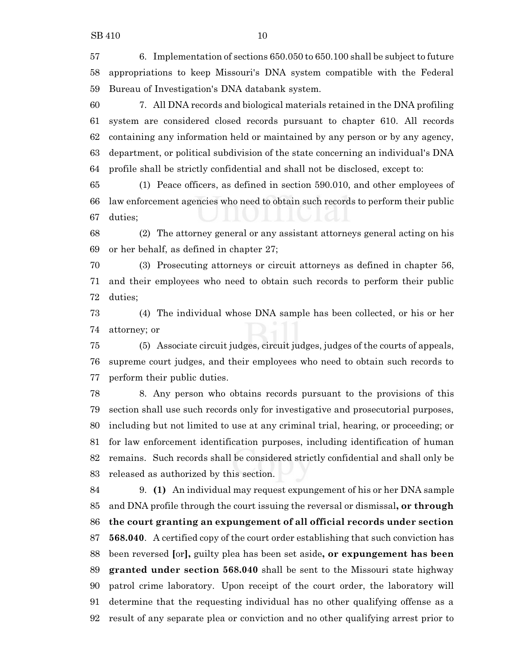6. Implementation of sections 650.050 to 650.100 shall be subject to future appropriations to keep Missouri's DNA system compatible with the Federal Bureau of Investigation's DNA databank system.

 7. All DNA records and biological materials retained in the DNA profiling system are considered closed records pursuant to chapter 610. All records containing any information held or maintained by any person or by any agency, department, or political subdivision of the state concerning an individual's DNA profile shall be strictly confidential and shall not be disclosed, except to:

 (1) Peace officers, as defined in section 590.010, and other employees of law enforcement agencies who need to obtain such records to perform their public duties;

 (2) The attorney general or any assistant attorneys general acting on his or her behalf, as defined in chapter 27;

 (3) Prosecuting attorneys or circuit attorneys as defined in chapter 56, and their employees who need to obtain such records to perform their public duties;

 (4) The individual whose DNA sample has been collected, or his or her attorney; or

 (5) Associate circuit judges, circuit judges, judges of the courts of appeals, supreme court judges, and their employees who need to obtain such records to perform their public duties.

 8. Any person who obtains records pursuant to the provisions of this section shall use such records only for investigative and prosecutorial purposes, including but not limited to use at any criminal trial, hearing, or proceeding; or for law enforcement identification purposes, including identification of human remains. Such records shall be considered strictly confidential and shall only be released as authorized by this section.

 9. **(1)** An individual may request expungement of his or her DNA sample and DNA profile through the court issuing the reversal or dismissal**, or through the court granting an expungement of all official records under section 568.040**. A certified copy of the court order establishing that such conviction has been reversed **[**or**],** guilty plea has been set aside**, or expungement has been granted under section 568.040** shall be sent to the Missouri state highway patrol crime laboratory. Upon receipt of the court order, the laboratory will determine that the requesting individual has no other qualifying offense as a result of any separate plea or conviction and no other qualifying arrest prior to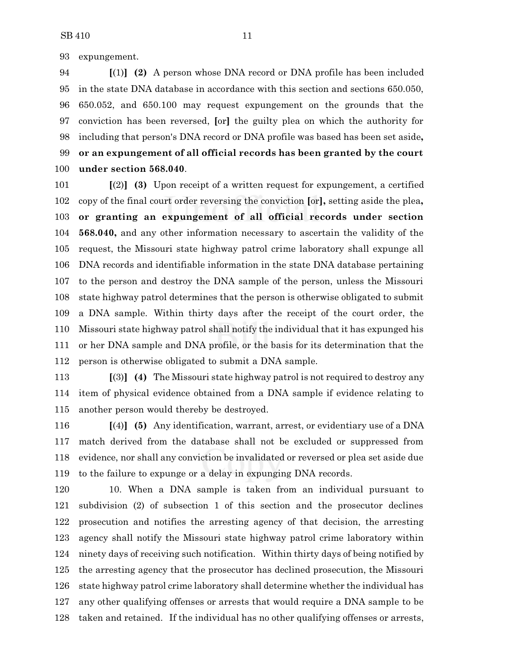expungement.

 **[**(1)**] (2)** A person whose DNA record or DNA profile has been included in the state DNA database in accordance with this section and sections 650.050, 650.052, and 650.100 may request expungement on the grounds that the conviction has been reversed, **[**or**]** the guilty plea on which the authority for including that person's DNA record or DNA profile was based has been set aside**, or an expungement of all official records has been granted by the court under section 568.040**.

 **[**(2)**] (3)** Upon receipt of a written request for expungement, a certified copy of the final court order reversing the conviction **[**or**],** setting aside the plea**, or granting an expungement of all official records under section 568.040,** and any other information necessary to ascertain the validity of the request, the Missouri state highway patrol crime laboratory shall expunge all DNA records and identifiable information in the state DNA database pertaining to the person and destroy the DNA sample of the person, unless the Missouri state highway patrol determines that the person is otherwise obligated to submit a DNA sample. Within thirty days after the receipt of the court order, the Missouri state highway patrol shall notify the individual that it has expunged his or her DNA sample and DNA profile, or the basis for its determination that the person is otherwise obligated to submit a DNA sample.

 **[**(3)**] (4)** The Missouri state highway patrol is not required to destroy any item of physical evidence obtained from a DNA sample if evidence relating to another person would thereby be destroyed.

 **[**(4)**] (5)** Any identification, warrant, arrest, or evidentiary use of a DNA match derived from the database shall not be excluded or suppressed from evidence, nor shall any conviction be invalidated or reversed or plea set aside due to the failure to expunge or a delay in expunging DNA records.

 10. When a DNA sample is taken from an individual pursuant to subdivision (2) of subsection 1 of this section and the prosecutor declines prosecution and notifies the arresting agency of that decision, the arresting agency shall notify the Missouri state highway patrol crime laboratory within ninety days of receiving such notification. Within thirty days of being notified by the arresting agency that the prosecutor has declined prosecution, the Missouri state highway patrol crime laboratory shall determine whether the individual has any other qualifying offenses or arrests that would require a DNA sample to be taken and retained. If the individual has no other qualifying offenses or arrests,